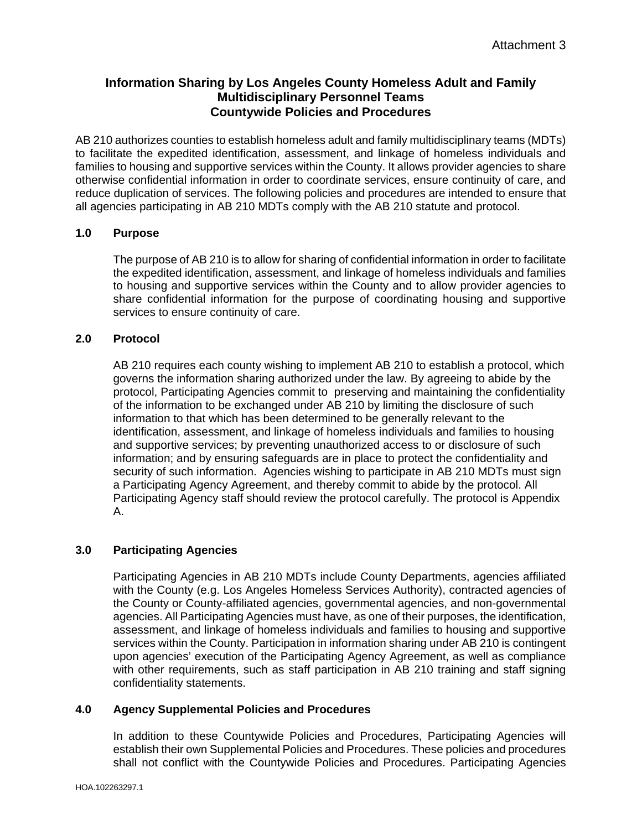# **Information Sharing by Los Angeles County Homeless Adult and Family Multidisciplinary Personnel Teams Countywide Policies and Procedures**

AB 210 authorizes counties to establish homeless adult and family multidisciplinary teams (MDTs) to facilitate the expedited identification, assessment, and linkage of homeless individuals and families to housing and supportive services within the County. It allows provider agencies to share otherwise confidential information in order to coordinate services, ensure continuity of care, and reduce duplication of services. The following policies and procedures are intended to ensure that all agencies participating in AB 210 MDTs comply with the AB 210 statute and protocol.

## **1.0 Purpose**

The purpose of AB 210 is to allow for sharing of confidential information in order to facilitate the expedited identification, assessment, and linkage of homeless individuals and families to housing and supportive services within the County and to allow provider agencies to share confidential information for the purpose of coordinating housing and supportive services to ensure continuity of care.

## **2.0 Protocol**

AB 210 requires each county wishing to implement AB 210 to establish a protocol, which governs the information sharing authorized under the law. By agreeing to abide by the protocol, Participating Agencies commit to preserving and maintaining the confidentiality of the information to be exchanged under AB 210 by limiting the disclosure of such information to that which has been determined to be generally relevant to the identification, assessment, and linkage of homeless individuals and families to housing and supportive services; by preventing unauthorized access to or disclosure of such information; and by ensuring safeguards are in place to protect the confidentiality and security of such information. Agencies wishing to participate in AB 210 MDTs must sign a Participating Agency Agreement, and thereby commit to abide by the protocol. All Participating Agency staff should review the protocol carefully. The protocol is Appendix A.

## **3.0 Participating Agencies**

Participating Agencies in AB 210 MDTs include County Departments, agencies affiliated with the County (e.g. Los Angeles Homeless Services Authority), contracted agencies of the County or County-affiliated agencies, governmental agencies, and non-governmental agencies. All Participating Agencies must have, as one of their purposes, the identification, assessment, and linkage of homeless individuals and families to housing and supportive services within the County. Participation in information sharing under AB 210 is contingent upon agencies' execution of the Participating Agency Agreement, as well as compliance with other requirements, such as staff participation in AB 210 training and staff signing confidentiality statements.

## **4.0 Agency Supplemental Policies and Procedures**

In addition to these Countywide Policies and Procedures, Participating Agencies will establish their own Supplemental Policies and Procedures. These policies and procedures shall not conflict with the Countywide Policies and Procedures. Participating Agencies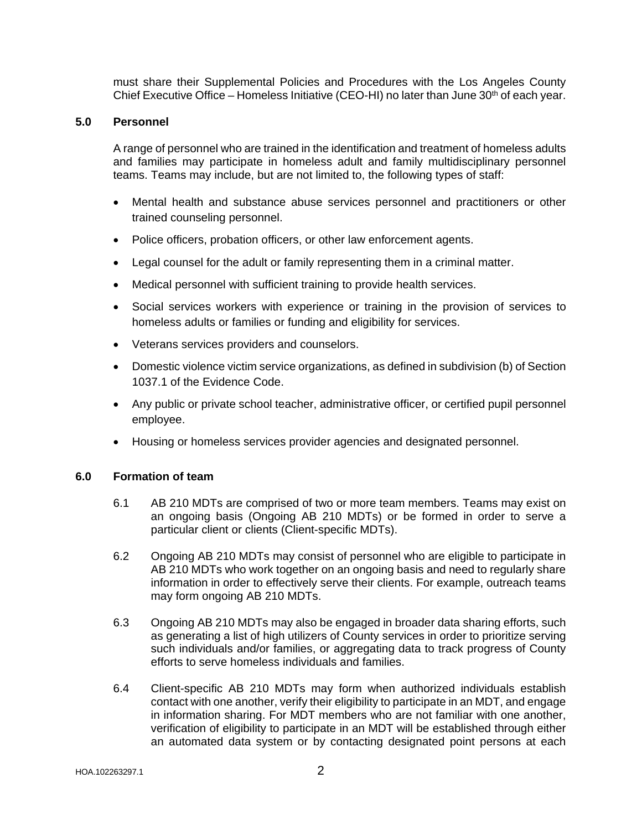must share their Supplemental Policies and Procedures with the Los Angeles County Chief Executive Office – Homeless Initiative (CEO-HI) no later than June 30<sup>th</sup> of each year.

## **5.0 Personnel**

A range of personnel who are trained in the identification and treatment of homeless adults and families may participate in homeless adult and family multidisciplinary personnel teams. Teams may include, but are not limited to, the following types of staff:

- Mental health and substance abuse services personnel and practitioners or other trained counseling personnel.
- Police officers, probation officers, or other law enforcement agents.
- Legal counsel for the adult or family representing them in a criminal matter.
- Medical personnel with sufficient training to provide health services.
- Social services workers with experience or training in the provision of services to homeless adults or families or funding and eligibility for services.
- Veterans services providers and counselors.
- Domestic violence victim service organizations, as defined in subdivision (b) of Section 1037.1 of the Evidence Code.
- Any public or private school teacher, administrative officer, or certified pupil personnel employee.
- Housing or homeless services provider agencies and designated personnel.

### **6.0 Formation of team**

- 6.1 AB 210 MDTs are comprised of two or more team members. Teams may exist on an ongoing basis (Ongoing AB 210 MDTs) or be formed in order to serve a particular client or clients (Client-specific MDTs).
- 6.2 Ongoing AB 210 MDTs may consist of personnel who are eligible to participate in AB 210 MDTs who work together on an ongoing basis and need to regularly share information in order to effectively serve their clients. For example, outreach teams may form ongoing AB 210 MDTs.
- 6.3 Ongoing AB 210 MDTs may also be engaged in broader data sharing efforts, such as generating a list of high utilizers of County services in order to prioritize serving such individuals and/or families, or aggregating data to track progress of County efforts to serve homeless individuals and families.
- 6.4 Client-specific AB 210 MDTs may form when authorized individuals establish contact with one another, verify their eligibility to participate in an MDT, and engage in information sharing. For MDT members who are not familiar with one another, verification of eligibility to participate in an MDT will be established through either an automated data system or by contacting designated point persons at each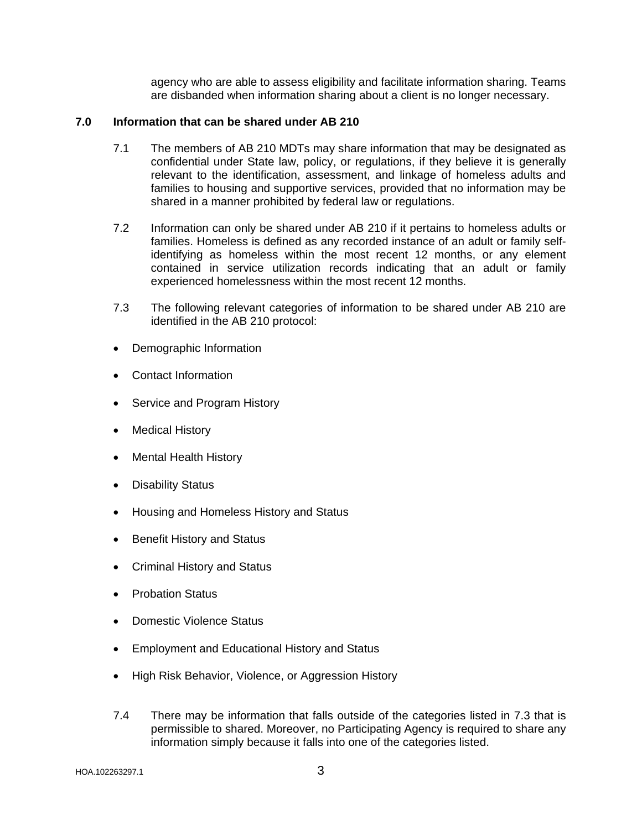agency who are able to assess eligibility and facilitate information sharing. Teams are disbanded when information sharing about a client is no longer necessary.

## **7.0 Information that can be shared under AB 210**

- 7.1 The members of AB 210 MDTs may share information that may be designated as confidential under State law, policy, or regulations, if they believe it is generally relevant to the identification, assessment, and linkage of homeless adults and families to housing and supportive services, provided that no information may be shared in a manner prohibited by federal law or regulations.
- 7.2 Information can only be shared under AB 210 if it pertains to homeless adults or families. Homeless is defined as any recorded instance of an adult or family selfidentifying as homeless within the most recent 12 months, or any element contained in service utilization records indicating that an adult or family experienced homelessness within the most recent 12 months.
- 7.3 The following relevant categories of information to be shared under AB 210 are identified in the AB 210 protocol:
- Demographic Information
- Contact Information
- Service and Program History
- Medical History
- Mental Health History
- Disability Status
- Housing and Homeless History and Status
- Benefit History and Status
- Criminal History and Status
- Probation Status
- Domestic Violence Status
- Employment and Educational History and Status
- High Risk Behavior, Violence, or Aggression History
- 7.4 There may be information that falls outside of the categories listed in 7.3 that is permissible to shared. Moreover, no Participating Agency is required to share any information simply because it falls into one of the categories listed.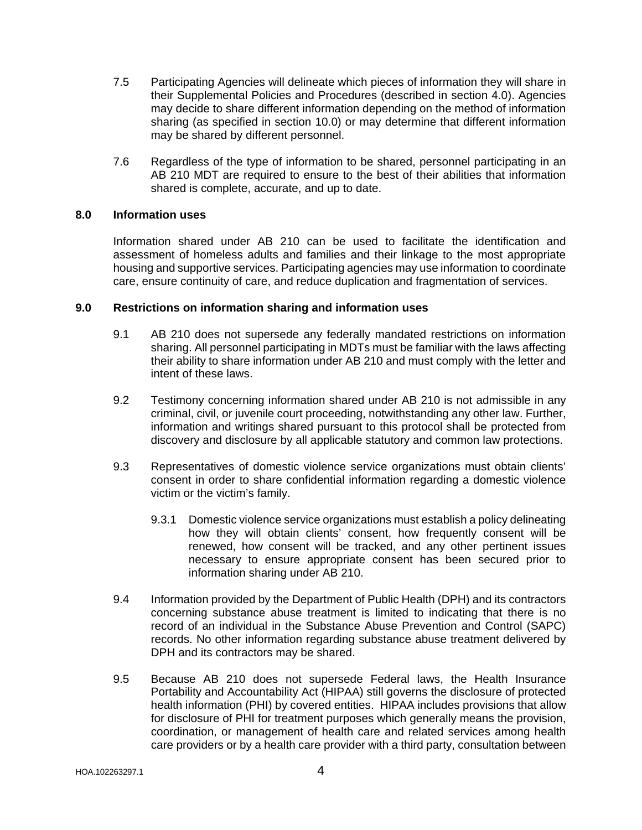- 7.5 Participating Agencies will delineate which pieces of information they will share in their Supplemental Policies and Procedures (described in section 4.0). Agencies may decide to share different information depending on the method of information sharing (as specified in section 10.0) or may determine that different information may be shared by different personnel.
- 7.6 Regardless of the type of information to be shared, personnel participating in an AB 210 MDT are required to ensure to the best of their abilities that information shared is complete, accurate, and up to date.

## **8.0 Information uses**

Information shared under AB 210 can be used to facilitate the identification and assessment of homeless adults and families and their linkage to the most appropriate housing and supportive services. Participating agencies may use information to coordinate care, ensure continuity of care, and reduce duplication and fragmentation of services.

#### **9.0 Restrictions on information sharing and information uses**

- 9.1 AB 210 does not supersede any federally mandated restrictions on information sharing. All personnel participating in MDTs must be familiar with the laws affecting their ability to share information under AB 210 and must comply with the letter and intent of these laws.
- 9.2 Testimony concerning information shared under AB 210 is not admissible in any criminal, civil, or juvenile court proceeding, notwithstanding any other law. Further, information and writings shared pursuant to this protocol shall be protected from discovery and disclosure by all applicable statutory and common law protections.
- 9.3 Representatives of domestic violence service organizations must obtain clients' consent in order to share confidential information regarding a domestic violence victim or the victim's family.
	- 9.3.1 Domestic violence service organizations must establish a policy delineating how they will obtain clients' consent, how frequently consent will be renewed, how consent will be tracked, and any other pertinent issues necessary to ensure appropriate consent has been secured prior to information sharing under AB 210.
- 9.4 Information provided by the Department of Public Health (DPH) and its contractors concerning substance abuse treatment is limited to indicating that there is no record of an individual in the Substance Abuse Prevention and Control (SAPC) records. No other information regarding substance abuse treatment delivered by DPH and its contractors may be shared.
- 9.5 Because AB 210 does not supersede Federal laws, the Health Insurance Portability and Accountability Act (HIPAA) still governs the disclosure of protected health information (PHI) by covered entities. HIPAA includes provisions that allow for disclosure of PHI for treatment purposes which generally means the provision, coordination, or management of health care and related services among health care providers or by a health care provider with a third party, consultation between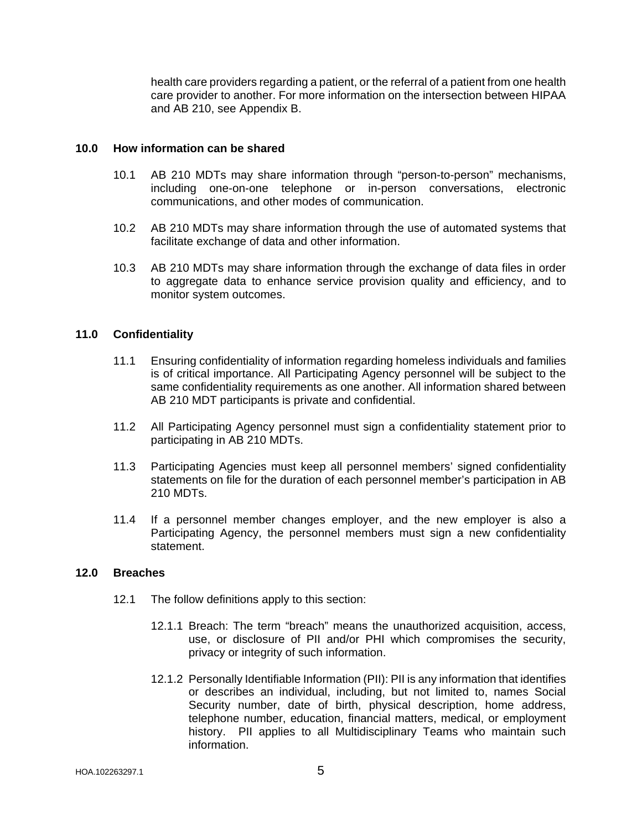health care providers regarding a patient, or the referral of a patient from one health care provider to another. For more information on the intersection between HIPAA and AB 210, see Appendix B.

#### **10.0 How information can be shared**

- 10.1 AB 210 MDTs may share information through "person-to-person" mechanisms, including one-on-one telephone or in-person conversations, electronic communications, and other modes of communication.
- 10.2 AB 210 MDTs may share information through the use of automated systems that facilitate exchange of data and other information.
- 10.3 AB 210 MDTs may share information through the exchange of data files in order to aggregate data to enhance service provision quality and efficiency, and to monitor system outcomes.

### **11.0 Confidentiality**

- 11.1 Ensuring confidentiality of information regarding homeless individuals and families is of critical importance. All Participating Agency personnel will be subject to the same confidentiality requirements as one another. All information shared between AB 210 MDT participants is private and confidential.
- 11.2 All Participating Agency personnel must sign a confidentiality statement prior to participating in AB 210 MDTs.
- 11.3 Participating Agencies must keep all personnel members' signed confidentiality statements on file for the duration of each personnel member's participation in AB 210 MDTs.
- 11.4 If a personnel member changes employer, and the new employer is also a Participating Agency, the personnel members must sign a new confidentiality statement.

### **12.0 Breaches**

- 12.1 The follow definitions apply to this section:
	- 12.1.1 Breach: The term "breach" means the unauthorized acquisition, access, use, or disclosure of PII and/or PHI which compromises the security, privacy or integrity of such information.
	- 12.1.2 Personally Identifiable Information (PII): PII is any information that identifies or describes an individual, including, but not limited to, names Social Security number, date of birth, physical description, home address, telephone number, education, financial matters, medical, or employment history. PII applies to all Multidisciplinary Teams who maintain such information.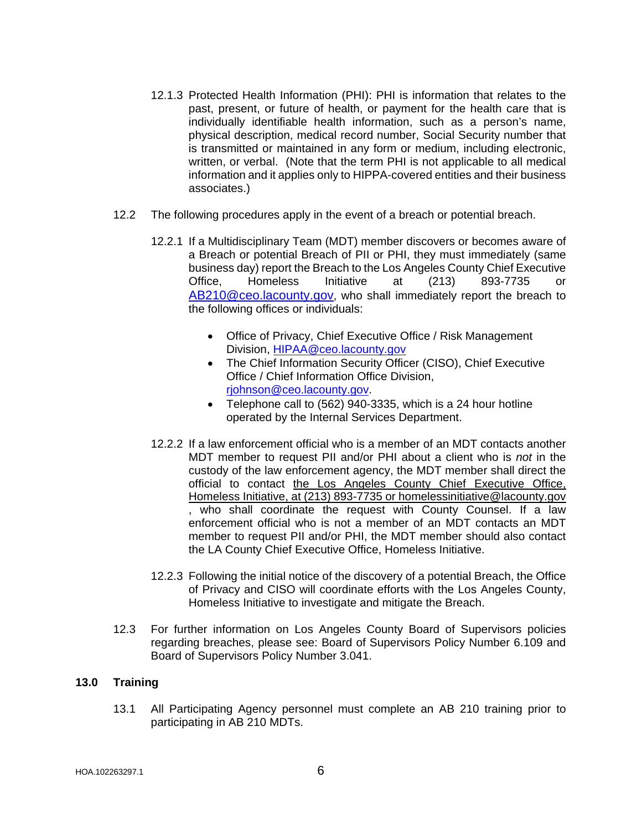- 12.1.3 Protected Health Information (PHI): PHI is information that relates to the past, present, or future of health, or payment for the health care that is individually identifiable health information, such as a person's name, physical description, medical record number, Social Security number that is transmitted or maintained in any form or medium, including electronic, written, or verbal. (Note that the term PHI is not applicable to all medical information and it applies only to HIPPA-covered entities and their business associates.)
- 12.2 The following procedures apply in the event of a breach or potential breach.
	- 12.2.1 If a Multidisciplinary Team (MDT) member discovers or becomes aware of a Breach or potential Breach of PII or PHI, they must immediately (same business day) report the Breach to the Los Angeles County Chief Executive Office, Homeless Initiative at (213) 893-7735 or [AB210@ceo.lacounty.gov,](mailto:AB210@ceo.lacounty.gov) who shall immediately report the breach to the following offices or individuals:
		- Office of Privacy, Chief Executive Office / Risk Management Division, [HIPAA@ceo.lacounty.gov](mailto:HIPAA@ceo.lacounty.gov)
		- The Chief Information Security Officer (CISO), Chief Executive Office / Chief Information Office Division, [rjohnson@ceo.lacounty.gov.](mailto:rjohnson@ceo.lacounty.gov)
		- Telephone call to (562) 940-3335, which is a 24 hour hotline operated by the Internal Services Department.
	- 12.2.2 If a law enforcement official who is a member of an MDT contacts another MDT member to request PII and/or PHI about a client who is *not* in the custody of the law enforcement agency, the MDT member shall direct the official to contact the Los Angeles County Chief Executive Office, Homeless Initiative, at (213) 893-7735 or homelessinitiative@lacounty.gov , who shall coordinate the request with County Counsel. If a law enforcement official who is not a member of an MDT contacts an MDT member to request PII and/or PHI, the MDT member should also contact the LA County Chief Executive Office, Homeless Initiative.
	- 12.2.3 Following the initial notice of the discovery of a potential Breach, the Office of Privacy and CISO will coordinate efforts with the Los Angeles County, Homeless Initiative to investigate and mitigate the Breach.
- 12.3 For further information on Los Angeles County Board of Supervisors policies regarding breaches, please see: Board of Supervisors Policy Number 6.109 and Board of Supervisors Policy Number 3.041.

### **13.0 Training**

13.1 All Participating Agency personnel must complete an AB 210 training prior to participating in AB 210 MDTs.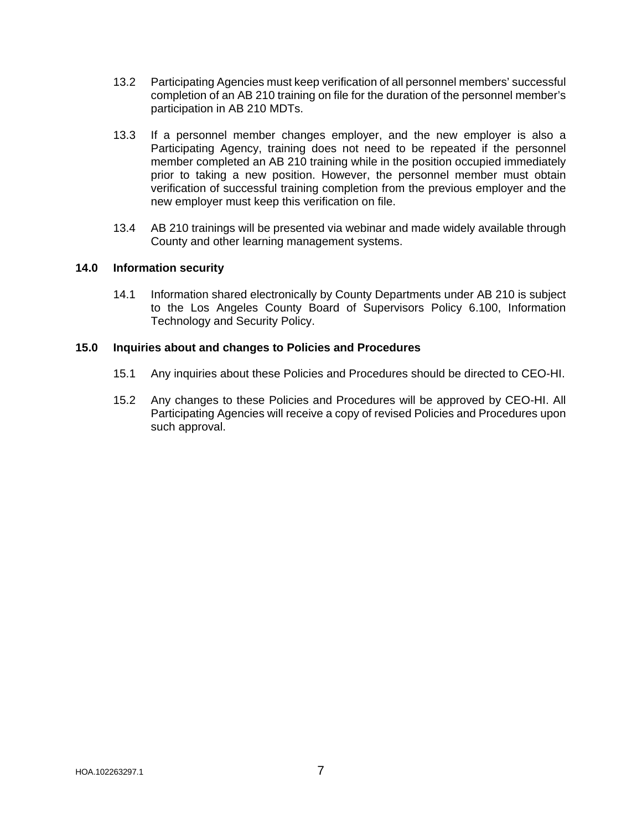- 13.2 Participating Agencies must keep verification of all personnel members' successful completion of an AB 210 training on file for the duration of the personnel member's participation in AB 210 MDTs.
- 13.3 If a personnel member changes employer, and the new employer is also a Participating Agency, training does not need to be repeated if the personnel member completed an AB 210 training while in the position occupied immediately prior to taking a new position. However, the personnel member must obtain verification of successful training completion from the previous employer and the new employer must keep this verification on file.
- 13.4 AB 210 trainings will be presented via webinar and made widely available through County and other learning management systems.

## **14.0 Information security**

14.1 Information shared electronically by County Departments under AB 210 is subject to the Los Angeles County Board of Supervisors Policy 6.100, Information Technology and Security Policy.

## **15.0 Inquiries about and changes to Policies and Procedures**

- 15.1 Any inquiries about these Policies and Procedures should be directed to CEO-HI.
- 15.2 Any changes to these Policies and Procedures will be approved by CEO-HI. All Participating Agencies will receive a copy of revised Policies and Procedures upon such approval.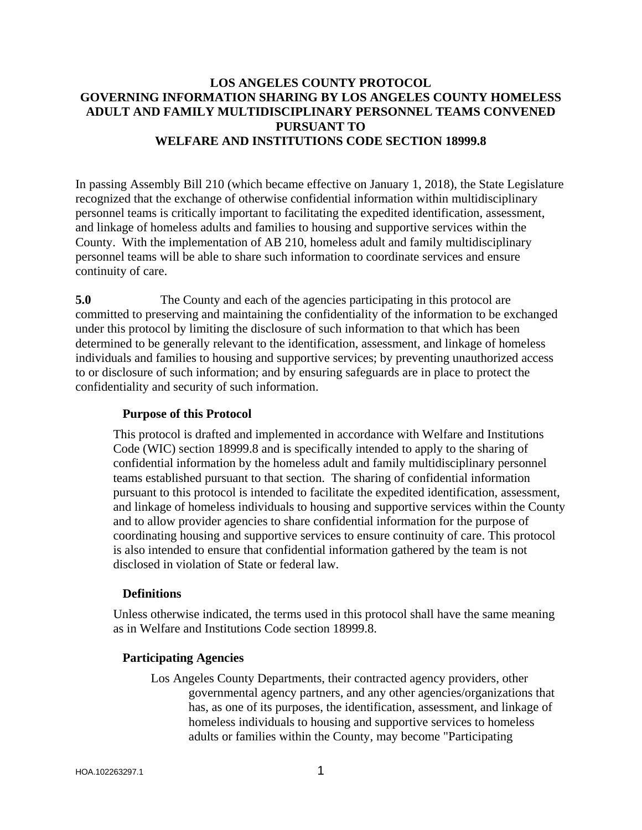# **LOS ANGELES COUNTY PROTOCOL GOVERNING INFORMATION SHARING BY LOS ANGELES COUNTY HOMELESS ADULT AND FAMILY MULTIDISCIPLINARY PERSONNEL TEAMS CONVENED PURSUANT TO WELFARE AND INSTITUTIONS CODE SECTION 18999.8**

In passing Assembly Bill 210 (which became effective on January 1, 2018), the State Legislature recognized that the exchange of otherwise confidential information within multidisciplinary personnel teams is critically important to facilitating the expedited identification, assessment, and linkage of homeless adults and families to housing and supportive services within the County. With the implementation of AB 210, homeless adult and family multidisciplinary personnel teams will be able to share such information to coordinate services and ensure continuity of care.

**5.0** The County and each of the agencies participating in this protocol are committed to preserving and maintaining the confidentiality of the information to be exchanged under this protocol by limiting the disclosure of such information to that which has been determined to be generally relevant to the identification, assessment, and linkage of homeless individuals and families to housing and supportive services; by preventing unauthorized access to or disclosure of such information; and by ensuring safeguards are in place to protect the confidentiality and security of such information.

## **Purpose of this Protocol**

This protocol is drafted and implemented in accordance with Welfare and Institutions Code (WIC) section 18999.8 and is specifically intended to apply to the sharing of confidential information by the homeless adult and family multidisciplinary personnel teams established pursuant to that section. The sharing of confidential information pursuant to this protocol is intended to facilitate the expedited identification, assessment, and linkage of homeless individuals to housing and supportive services within the County and to allow provider agencies to share confidential information for the purpose of coordinating housing and supportive services to ensure continuity of care. This protocol is also intended to ensure that confidential information gathered by the team is not disclosed in violation of State or federal law.

# **Definitions**

Unless otherwise indicated, the terms used in this protocol shall have the same meaning as in Welfare and Institutions Code section 18999.8.

# **Participating Agencies**

Los Angeles County Departments, their contracted agency providers, other governmental agency partners, and any other agencies/organizations that has, as one of its purposes, the identification, assessment, and linkage of homeless individuals to housing and supportive services to homeless adults or families within the County, may become "Participating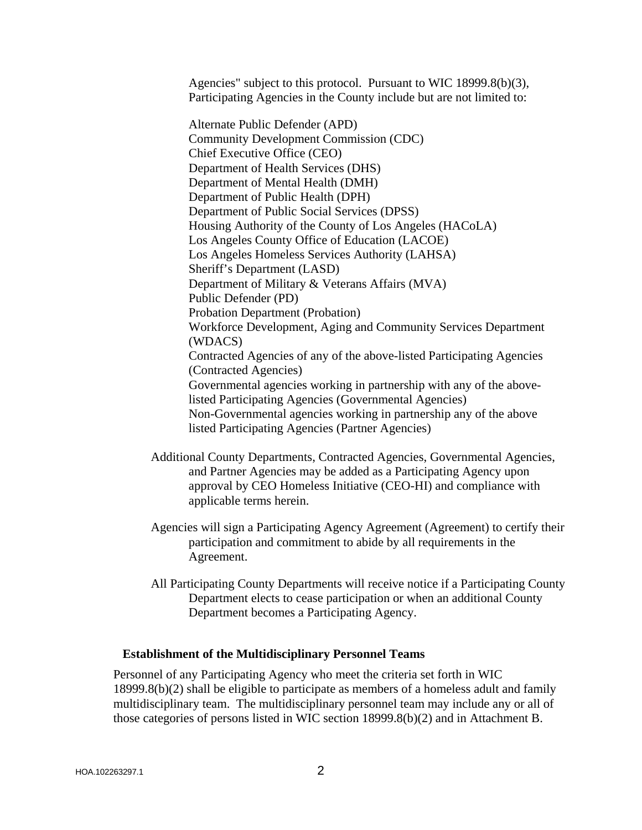Agencies" subject to this protocol. Pursuant to WIC 18999.8(b)(3), Participating Agencies in the County include but are not limited to:

Alternate Public Defender (APD) Community Development Commission (CDC) Chief Executive Office (CEO) Department of Health Services (DHS) Department of Mental Health (DMH) Department of Public Health (DPH) Department of Public Social Services (DPSS) Housing Authority of the County of Los Angeles (HACoLA) Los Angeles County Office of Education (LACOE) Los Angeles Homeless Services Authority (LAHSA) Sheriff's Department (LASD) Department of Military & Veterans Affairs (MVA) Public Defender (PD) Probation Department (Probation) Workforce Development, Aging and Community Services Department (WDACS) Contracted Agencies of any of the above-listed Participating Agencies (Contracted Agencies) Governmental agencies working in partnership with any of the abovelisted Participating Agencies (Governmental Agencies) Non-Governmental agencies working in partnership any of the above listed Participating Agencies (Partner Agencies)

- Additional County Departments, Contracted Agencies, Governmental Agencies, and Partner Agencies may be added as a Participating Agency upon approval by CEO Homeless Initiative (CEO-HI) and compliance with applicable terms herein.
- Agencies will sign a Participating Agency Agreement (Agreement) to certify their participation and commitment to abide by all requirements in the Agreement.
- All Participating County Departments will receive notice if a Participating County Department elects to cease participation or when an additional County Department becomes a Participating Agency.

### **Establishment of the Multidisciplinary Personnel Teams**

Personnel of any Participating Agency who meet the criteria set forth in WIC 18999.8(b)(2) shall be eligible to participate as members of a homeless adult and family multidisciplinary team. The multidisciplinary personnel team may include any or all of those categories of persons listed in WIC section 18999.8(b)(2) and in Attachment B.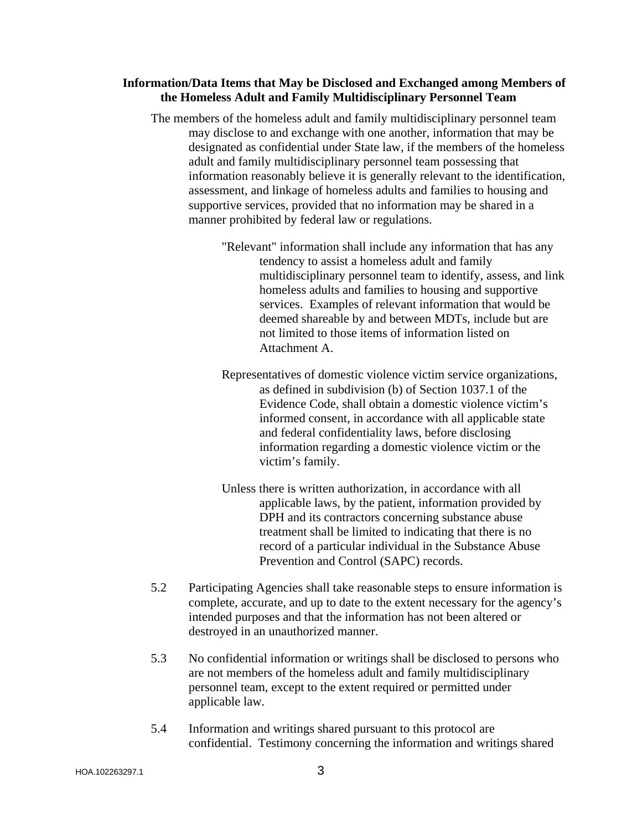## **Information/Data Items that May be Disclosed and Exchanged among Members of the Homeless Adult and Family Multidisciplinary Personnel Team**

- The members of the homeless adult and family multidisciplinary personnel team may disclose to and exchange with one another, information that may be designated as confidential under State law, if the members of the homeless adult and family multidisciplinary personnel team possessing that information reasonably believe it is generally relevant to the identification, assessment, and linkage of homeless adults and families to housing and supportive services, provided that no information may be shared in a manner prohibited by federal law or regulations.
	- "Relevant" information shall include any information that has any tendency to assist a homeless adult and family multidisciplinary personnel team to identify, assess, and link homeless adults and families to housing and supportive services. Examples of relevant information that would be deemed shareable by and between MDTs, include but are not limited to those items of information listed on Attachment A.
	- Representatives of domestic violence victim service organizations, as defined in subdivision (b) of Section 1037.1 of the Evidence Code, shall obtain a domestic violence victim's informed consent, in accordance with all applicable state and federal confidentiality laws, before disclosing information regarding a domestic violence victim or the victim's family.
	- Unless there is written authorization, in accordance with all applicable laws, by the patient, information provided by DPH and its contractors concerning substance abuse treatment shall be limited to indicating that there is no record of a particular individual in the Substance Abuse Prevention and Control (SAPC) records.
- 5.2 Participating Agencies shall take reasonable steps to ensure information is complete, accurate, and up to date to the extent necessary for the agency's intended purposes and that the information has not been altered or destroyed in an unauthorized manner.
- 5.3 No confidential information or writings shall be disclosed to persons who are not members of the homeless adult and family multidisciplinary personnel team, except to the extent required or permitted under applicable law.
- 5.4 Information and writings shared pursuant to this protocol are confidential. Testimony concerning the information and writings shared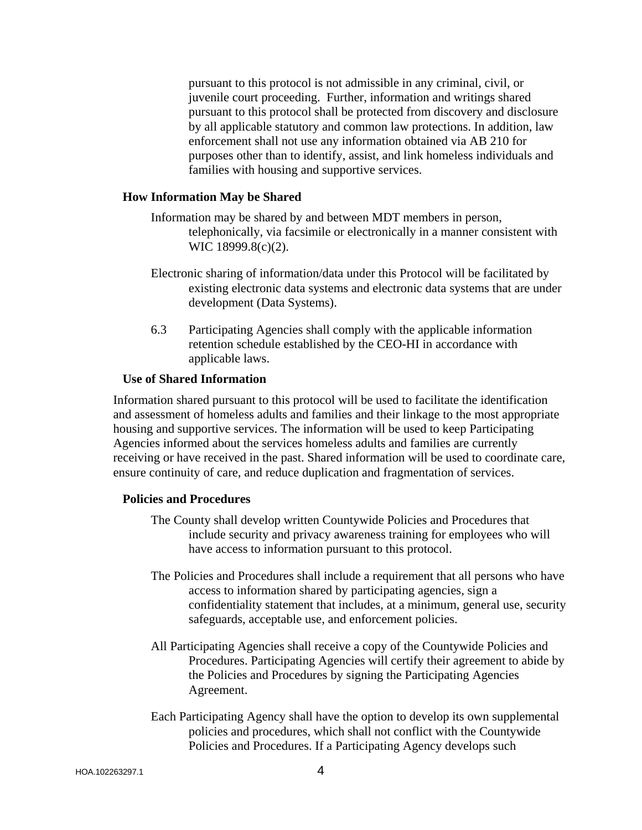pursuant to this protocol is not admissible in any criminal, civil, or juvenile court proceeding. Further, information and writings shared pursuant to this protocol shall be protected from discovery and disclosure by all applicable statutory and common law protections. In addition, law enforcement shall not use any information obtained via AB 210 for purposes other than to identify, assist, and link homeless individuals and families with housing and supportive services.

### **How Information May be Shared**

Information may be shared by and between MDT members in person, telephonically, via facsimile or electronically in a manner consistent with WIC 18999.8(c)(2).

- Electronic sharing of information/data under this Protocol will be facilitated by existing electronic data systems and electronic data systems that are under development (Data Systems).
- 6.3 Participating Agencies shall comply with the applicable information retention schedule established by the CEO-HI in accordance with applicable laws.

#### **Use of Shared Information**

Information shared pursuant to this protocol will be used to facilitate the identification and assessment of homeless adults and families and their linkage to the most appropriate housing and supportive services. The information will be used to keep Participating Agencies informed about the services homeless adults and families are currently receiving or have received in the past. Shared information will be used to coordinate care, ensure continuity of care, and reduce duplication and fragmentation of services.

#### **Policies and Procedures**

- The County shall develop written Countywide Policies and Procedures that include security and privacy awareness training for employees who will have access to information pursuant to this protocol.
- The Policies and Procedures shall include a requirement that all persons who have access to information shared by participating agencies, sign a confidentiality statement that includes, at a minimum, general use, security safeguards, acceptable use, and enforcement policies.
- All Participating Agencies shall receive a copy of the Countywide Policies and Procedures. Participating Agencies will certify their agreement to abide by the Policies and Procedures by signing the Participating Agencies Agreement.
- Each Participating Agency shall have the option to develop its own supplemental policies and procedures, which shall not conflict with the Countywide Policies and Procedures. If a Participating Agency develops such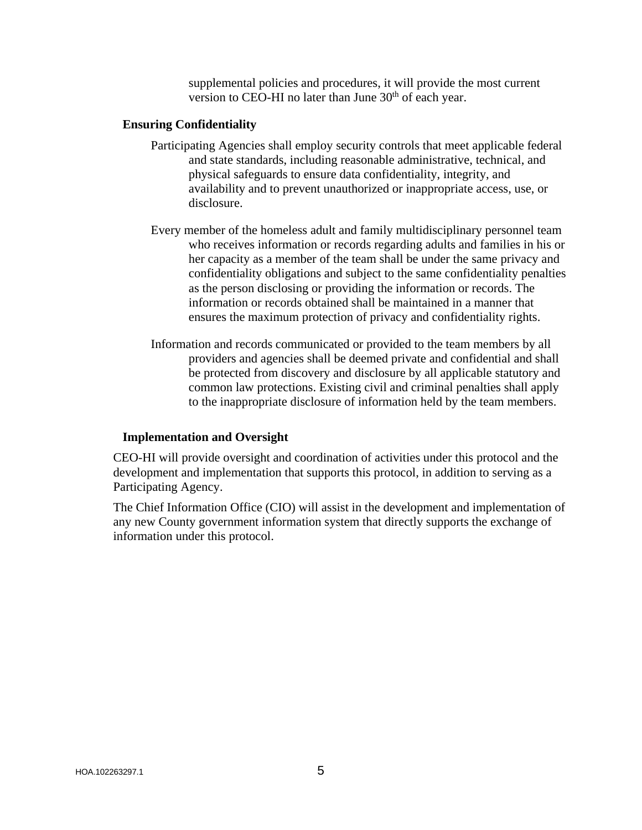supplemental policies and procedures, it will provide the most current version to CEO-HI no later than June  $30<sup>th</sup>$  of each year.

### **Ensuring Confidentiality**

- Participating Agencies shall employ security controls that meet applicable federal and state standards, including reasonable administrative, technical, and physical safeguards to ensure data confidentiality, integrity, and availability and to prevent unauthorized or inappropriate access, use, or disclosure.
- Every member of the homeless adult and family multidisciplinary personnel team who receives information or records regarding adults and families in his or her capacity as a member of the team shall be under the same privacy and confidentiality obligations and subject to the same confidentiality penalties as the person disclosing or providing the information or records. The information or records obtained shall be maintained in a manner that ensures the maximum protection of privacy and confidentiality rights.
- Information and records communicated or provided to the team members by all providers and agencies shall be deemed private and confidential and shall be protected from discovery and disclosure by all applicable statutory and common law protections. Existing civil and criminal penalties shall apply to the inappropriate disclosure of information held by the team members.

### **Implementation and Oversight**

CEO-HI will provide oversight and coordination of activities under this protocol and the development and implementation that supports this protocol, in addition to serving as a Participating Agency.

The Chief Information Office (CIO) will assist in the development and implementation of any new County government information system that directly supports the exchange of information under this protocol.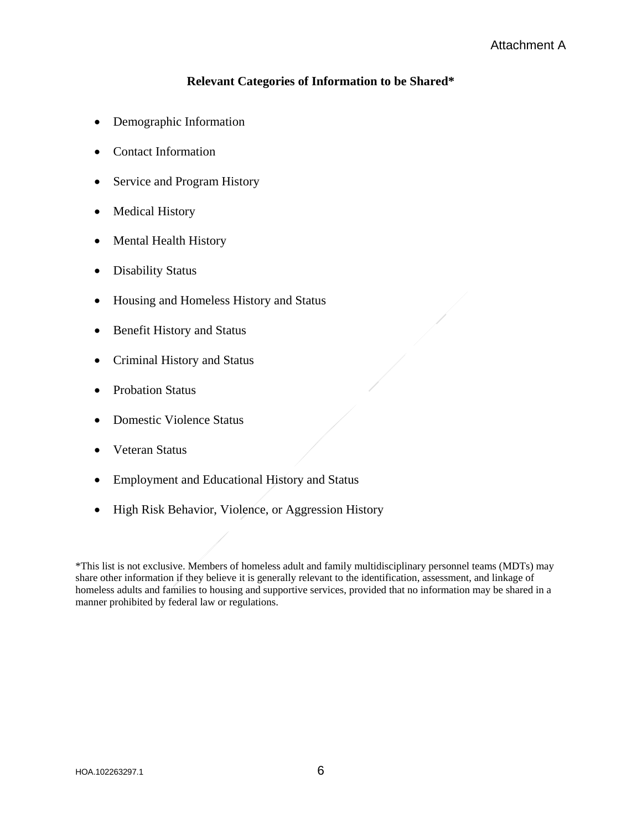# **Relevant Categories of Information to be Shared\***

- Demographic Information
- Contact Information
- Service and Program History
- Medical History
- Mental Health History
- Disability Status
- Housing and Homeless History and Status
- Benefit History and Status
- Criminal History and Status
- Probation Status
- Domestic Violence Status
- Veteran Status
- Employment and Educational History and Status
- High Risk Behavior, Violence, or Aggression History

\*This list is not exclusive. Members of homeless adult and family multidisciplinary personnel teams (MDTs) may share other information if they believe it is generally relevant to the identification, assessment, and linkage of homeless adults and families to housing and supportive services, provided that no information may be shared in a manner prohibited by federal law or regulations.